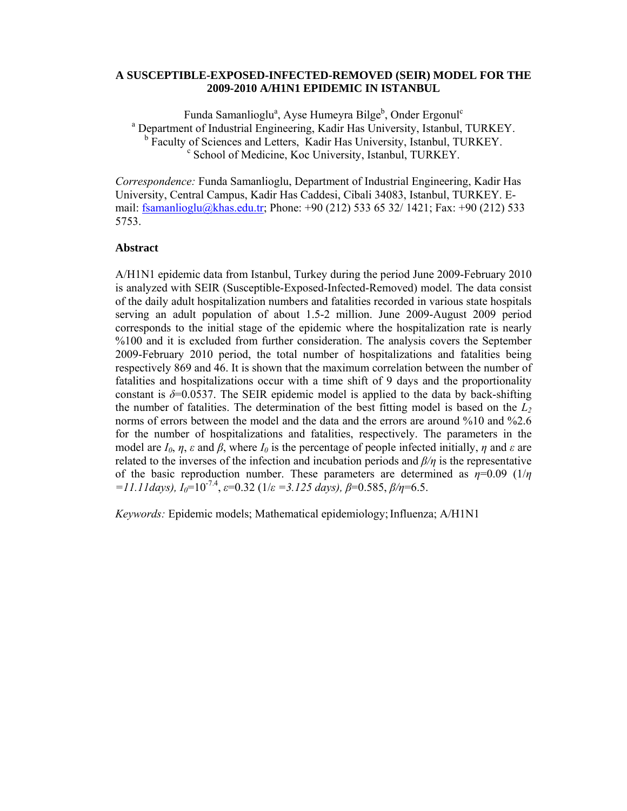## **A SUSCEPTIBLE-EXPOSED-INFECTED-REMOVED (SEIR) MODEL FOR THE 2009-2010 A/H1N1 EPIDEMIC IN ISTANBUL**

Funda Samanlioglu<sup>a</sup>, Ayse Humeyra Bilge<sup>b</sup>, Onder Ergonul<sup>c</sup> <sup>a</sup> Department of Industrial Engineering, Kadir Has University, Istanbul, TURKEY.  $b$  Faculty of Sciences and Letters, Kadir Has University, Istanbul, TURKEY. <sup>c</sup> School of Medicine, Koc University, Istanbul, TURKEY.

*Correspondence:* Funda Samanlioglu, Department of Industrial Engineering, Kadir Has University, Central Campus, Kadir Has Caddesi, Cibali 34083, Istanbul, TURKEY. Email: fsamanlioglu@khas.edu.tr; Phone: +90 (212) 533 65 32/ 1421; Fax: +90 (212) 533 5753.

## **Abstract**

A/H1N1 epidemic data from Istanbul, Turkey during the period June 2009-February 2010 is analyzed with SEIR (Susceptible-Exposed-Infected-Removed) model. The data consist of the daily adult hospitalization numbers and fatalities recorded in various state hospitals serving an adult population of about 1.5-2 million. June 2009-August 2009 period corresponds to the initial stage of the epidemic where the hospitalization rate is nearly %100 and it is excluded from further consideration. The analysis covers the September 2009-February 2010 period, the total number of hospitalizations and fatalities being respectively 869 and 46. It is shown that the maximum correlation between the number of fatalities and hospitalizations occur with a time shift of 9 days and the proportionality constant is  $\delta$ =0.0537. The SEIR epidemic model is applied to the data by back-shifting the number of fatalities. The determination of the best fitting model is based on the  $L<sub>2</sub>$ norms of errors between the model and the data and the errors are around %10 and %2.6 for the number of hospitalizations and fatalities, respectively. The parameters in the model are  $I_0$ ,  $\eta$ ,  $\varepsilon$  and  $\beta$ , where  $I_0$  is the percentage of people infected initially,  $\eta$  and  $\varepsilon$  are related to the inverses of the infection and incubation periods and *β/η* is the representative of the basic reproduction number. These parameters are determined as  $\eta=0.09$  (1/ $\eta$ )  $=11.11$ days),  $I_0=10^{-7.4}$ ,  $\varepsilon=0.32$  ( $1/\varepsilon=3.125$  days),  $\beta=0.585$ ,  $\beta/\eta=6.5$ .

*Keywords:* Epidemic models; Mathematical epidemiology;Influenza; A/H1N1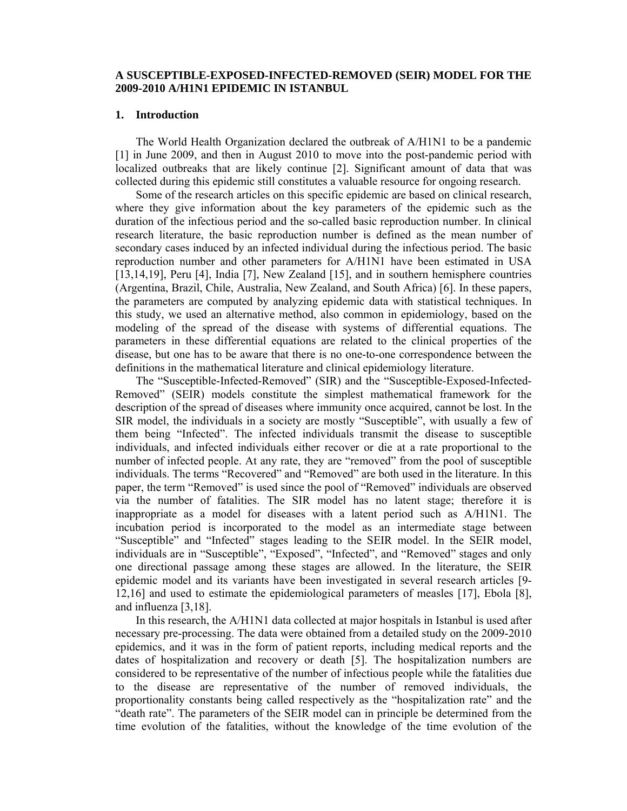## **A SUSCEPTIBLE-EXPOSED-INFECTED-REMOVED (SEIR) MODEL FOR THE 2009-2010 A/H1N1 EPIDEMIC IN ISTANBUL**

#### **1. Introduction**

The World Health Organization declared the outbreak of A/H1N1 to be a pandemic [1] in June 2009, and then in August 2010 to move into the post-pandemic period with localized outbreaks that are likely continue [2]. Significant amount of data that was collected during this epidemic still constitutes a valuable resource for ongoing research.

Some of the research articles on this specific epidemic are based on clinical research, where they give information about the key parameters of the epidemic such as the duration of the infectious period and the so-called basic reproduction number. In clinical research literature, the basic reproduction number is defined as the mean number of secondary cases induced by an infected individual during the infectious period. The basic reproduction number and other parameters for A/H1N1 have been estimated in USA [13,14,19], Peru [4], India [7], New Zealand [15], and in southern hemisphere countries (Argentina, Brazil, Chile, Australia, New Zealand, and South Africa) [6]. In these papers, the parameters are computed by analyzing epidemic data with statistical techniques. In this study, we used an alternative method, also common in epidemiology, based on the modeling of the spread of the disease with systems of differential equations. The parameters in these differential equations are related to the clinical properties of the disease, but one has to be aware that there is no one-to-one correspondence between the definitions in the mathematical literature and clinical epidemiology literature.

The "Susceptible-Infected-Removed" (SIR) and the "Susceptible-Exposed-Infected-Removed" (SEIR) models constitute the simplest mathematical framework for the description of the spread of diseases where immunity once acquired, cannot be lost. In the SIR model, the individuals in a society are mostly "Susceptible", with usually a few of them being "Infected". The infected individuals transmit the disease to susceptible individuals, and infected individuals either recover or die at a rate proportional to the number of infected people. At any rate, they are "removed" from the pool of susceptible individuals. The terms "Recovered" and "Removed" are both used in the literature. In this paper, the term "Removed" is used since the pool of "Removed" individuals are observed via the number of fatalities. The SIR model has no latent stage; therefore it is inappropriate as a model for diseases with a latent period such as A/H1N1. The incubation period is incorporated to the model as an intermediate stage between "Susceptible" and "Infected" stages leading to the SEIR model. In the SEIR model, individuals are in "Susceptible", "Exposed", "Infected", and "Removed" stages and only one directional passage among these stages are allowed. In the literature, the SEIR epidemic model and its variants have been investigated in several research articles [9- 12,16] and used to estimate the epidemiological parameters of measles [17], Ebola [8], and influenza [3,18].

In this research, the A/H1N1 data collected at major hospitals in Istanbul is used after necessary pre-processing. The data were obtained from a detailed study on the 2009-2010 epidemics, and it was in the form of patient reports, including medical reports and the dates of hospitalization and recovery or death [5]. The hospitalization numbers are considered to be representative of the number of infectious people while the fatalities due to the disease are representative of the number of removed individuals, the proportionality constants being called respectively as the "hospitalization rate" and the "death rate". The parameters of the SEIR model can in principle be determined from the time evolution of the fatalities, without the knowledge of the time evolution of the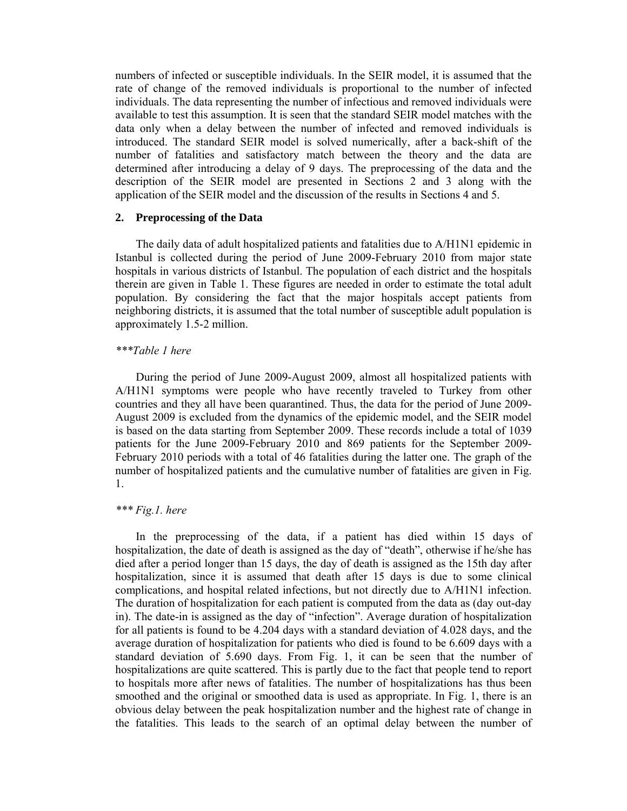numbers of infected or susceptible individuals. In the SEIR model, it is assumed that the rate of change of the removed individuals is proportional to the number of infected individuals. The data representing the number of infectious and removed individuals were available to test this assumption. It is seen that the standard SEIR model matches with the data only when a delay between the number of infected and removed individuals is introduced. The standard SEIR model is solved numerically, after a back-shift of the number of fatalities and satisfactory match between the theory and the data are determined after introducing a delay of 9 days. The preprocessing of the data and the description of the SEIR model are presented in Sections 2 and 3 along with the application of the SEIR model and the discussion of the results in Sections 4 and 5.

#### **2. Preprocessing of the Data**

The daily data of adult hospitalized patients and fatalities due to A/H1N1 epidemic in Istanbul is collected during the period of June 2009-February 2010 from major state hospitals in various districts of Istanbul. The population of each district and the hospitals therein are given in Table 1. These figures are needed in order to estimate the total adult population. By considering the fact that the major hospitals accept patients from neighboring districts, it is assumed that the total number of susceptible adult population is approximately 1.5-2 million.

### *\*\*\*Table 1 here*

During the period of June 2009-August 2009, almost all hospitalized patients with A/H1N1 symptoms were people who have recently traveled to Turkey from other countries and they all have been quarantined. Thus, the data for the period of June 2009- August 2009 is excluded from the dynamics of the epidemic model, and the SEIR model is based on the data starting from September 2009. These records include a total of 1039 patients for the June 2009-February 2010 and 869 patients for the September 2009- February 2010 periods with a total of 46 fatalities during the latter one. The graph of the number of hospitalized patients and the cumulative number of fatalities are given in Fig. 1.

#### *\*\*\* Fig.1. here*

In the preprocessing of the data, if a patient has died within 15 days of hospitalization, the date of death is assigned as the day of "death", otherwise if he/she has died after a period longer than 15 days, the day of death is assigned as the 15th day after hospitalization, since it is assumed that death after 15 days is due to some clinical complications, and hospital related infections, but not directly due to A/H1N1 infection. The duration of hospitalization for each patient is computed from the data as (day out-day in). The date-in is assigned as the day of "infection". Average duration of hospitalization for all patients is found to be 4.204 days with a standard deviation of 4.028 days, and the average duration of hospitalization for patients who died is found to be 6.609 days with a standard deviation of 5.690 days. From Fig. 1, it can be seen that the number of hospitalizations are quite scattered. This is partly due to the fact that people tend to report to hospitals more after news of fatalities. The number of hospitalizations has thus been smoothed and the original or smoothed data is used as appropriate. In Fig. 1, there is an obvious delay between the peak hospitalization number and the highest rate of change in the fatalities. This leads to the search of an optimal delay between the number of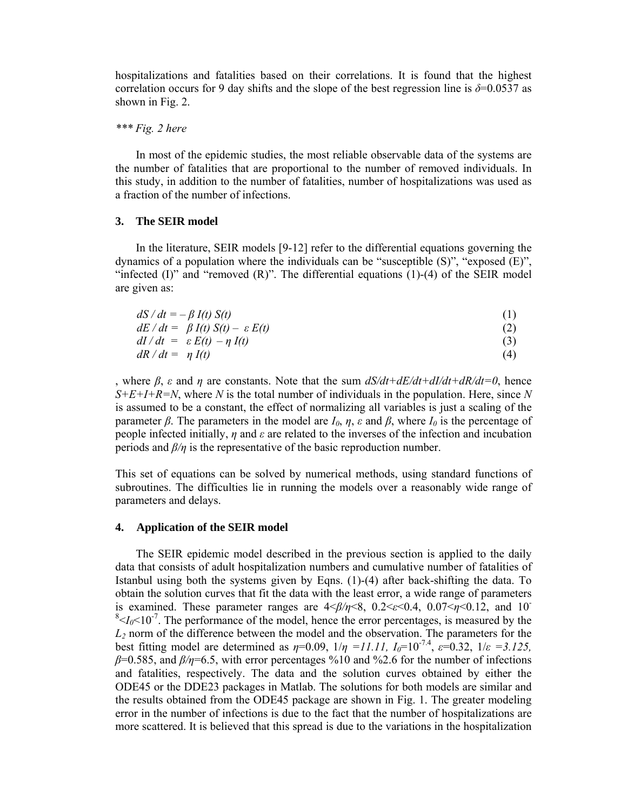hospitalizations and fatalities based on their correlations. It is found that the highest correlation occurs for 9 day shifts and the slope of the best regression line is  $\delta$ =0.0537 as shown in Fig. 2.

#### *\*\*\* Fig. 2 here*

In most of the epidemic studies, the most reliable observable data of the systems are the number of fatalities that are proportional to the number of removed individuals. In this study, in addition to the number of fatalities, number of hospitalizations was used as a fraction of the number of infections.

## **3. The SEIR model**

In the literature, SEIR models [9-12] refer to the differential equations governing the dynamics of a population where the individuals can be "susceptible (S)", "exposed (E)", "infected  $(I)$ " and "removed  $(R)$ ". The differential equations  $(1)-(4)$  of the SEIR model are given as:

| $dS/dt = -\beta I(t) S(t)$                   | (1) |
|----------------------------------------------|-----|
| $dE/dt = \beta I(t) S(t) - \varepsilon E(t)$ | (2) |
| $dI/dt = \varepsilon E(t) - \eta I(t)$       | (3) |
| $dR/dt = \eta I(t)$                          | (4) |

, where *β*, *ε* and *η* are constants. Note that the sum *dS/dt+dE/dt+dI/dt+dR/dt=0*, hence  $S+E+I+R=N$ , where *N* is the total number of individuals in the population. Here, since *N* is assumed to be a constant, the effect of normalizing all variables is just a scaling of the parameter *β*. The parameters in the model are  $I_0$ ,  $\eta$ ,  $\varepsilon$  and  $\beta$ , where  $I_0$  is the percentage of people infected initially, *η* and *ε* are related to the inverses of the infection and incubation periods and *β/η* is the representative of the basic reproduction number.

This set of equations can be solved by numerical methods, using standard functions of subroutines. The difficulties lie in running the models over a reasonably wide range of parameters and delays.

#### **4. Application of the SEIR model**

The SEIR epidemic model described in the previous section is applied to the daily data that consists of adult hospitalization numbers and cumulative number of fatalities of Istanbul using both the systems given by Eqns. (1)-(4) after back-shifting the data. To obtain the solution curves that fit the data with the least error, a wide range of parameters is examined. These parameter ranges are  $4 \le \frac{\beta}{\eta} \le 8$ ,  $0.2 \le \epsilon \le 0.4$ ,  $0.07 \le \eta \le 0.12$ , and 10<sup>-</sup>  $8 < I_0 < 10^{-7}$ . The performance of the model, hence the error percentages, is measured by the *L2* norm of the difference between the model and the observation. The parameters for the best fitting model are determined as  $\eta=0.09$ ,  $1/\eta=11.11$ ,  $I_0=10^{-7.4}$ ,  $\varepsilon=0.32$ ,  $1/\varepsilon=3.125$ , *β*=0.585, and *β/η*=6.5, with error percentages %10 and %2.6 for the number of infections and fatalities, respectively. The data and the solution curves obtained by either the ODE45 or the DDE23 packages in Matlab. The solutions for both models are similar and the results obtained from the ODE45 package are shown in Fig. 1. The greater modeling error in the number of infections is due to the fact that the number of hospitalizations are more scattered. It is believed that this spread is due to the variations in the hospitalization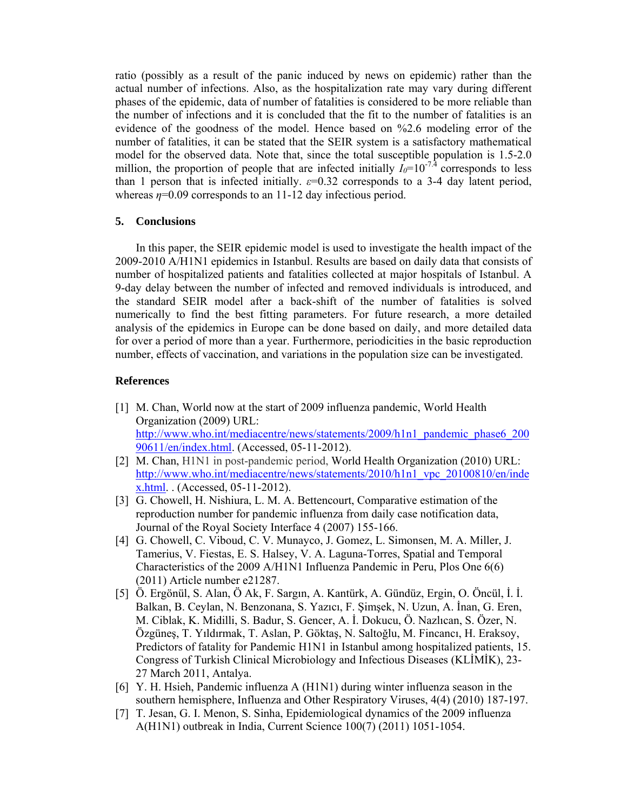ratio (possibly as a result of the panic induced by news on epidemic) rather than the actual number of infections. Also, as the hospitalization rate may vary during different phases of the epidemic, data of number of fatalities is considered to be more reliable than the number of infections and it is concluded that the fit to the number of fatalities is an evidence of the goodness of the model. Hence based on %2.6 modeling error of the number of fatalities, it can be stated that the SEIR system is a satisfactory mathematical model for the observed data. Note that, since the total susceptible population is 1.5-2.0 million, the proportion of people that are infected initially  $I_0=10^{-7.4}$  corresponds to less than 1 person that is infected initially.  $\varepsilon$ =0.32 corresponds to a 3-4 day latent period, whereas *η*=0.09 corresponds to an 11-12 day infectious period.

# **5. Conclusions**

In this paper, the SEIR epidemic model is used to investigate the health impact of the 2009-2010 A/H1N1 epidemics in Istanbul. Results are based on daily data that consists of number of hospitalized patients and fatalities collected at major hospitals of Istanbul. A 9-day delay between the number of infected and removed individuals is introduced, and the standard SEIR model after a back-shift of the number of fatalities is solved numerically to find the best fitting parameters. For future research, a more detailed analysis of the epidemics in Europe can be done based on daily, and more detailed data for over a period of more than a year. Furthermore, periodicities in the basic reproduction number, effects of vaccination, and variations in the population size can be investigated.

# **References**

- [1] M. Chan, World now at the start of 2009 influenza pandemic, World Health Organization (2009) URL: http://www.who.int/mediacentre/news/statements/2009/h1n1\_pandemic\_phase6\_200 90611/en/index.html. (Accessed, 05-11-2012).
- [2] M. Chan, H1N1 in post-pandemic period, World Health Organization (2010) URL: http://www.who.int/mediacentre/news/statements/2010/h1n1\_vpc\_20100810/en/inde x.html. . (Accessed, 05-11-2012).
- [3] G. Chowell, H. Nishiura, L. M. A. Bettencourt, Comparative estimation of the reproduction number for pandemic influenza from daily case notification data, Journal of the Royal Society Interface 4 (2007) 155-166.
- [4] G. Chowell, C. Viboud, C. V. Munayco, J. Gomez, L. Simonsen, M. A. Miller, J. Tamerius, V. Fiestas, E. S. Halsey, V. A. Laguna-Torres, Spatial and Temporal Characteristics of the 2009 A/H1N1 Influenza Pandemic in Peru, Plos One 6(6) (2011) Article number e21287.
- [5] Ö. Ergönül, S. Alan, Ö Ak, F. Sargın, A. Kantürk, A. Gündüz, Ergin, O. Öncül, İ. İ. Balkan, B. Ceylan, N. Benzonana, S. Yazıcı, F. Şimşek, N. Uzun, A. İnan, G. Eren, M. Ciblak, K. Midilli, S. Badur, S. Gencer, A. İ. Dokucu, Ö. Nazlıcan, S. Özer, N. Özgüneş, T. Yıldırmak, T. Aslan, P. Göktaş, N. Saltoğlu, M. Fincancı, H. Eraksoy, Predictors of fatality for Pandemic H1N1 in Istanbul among hospitalized patients, 15. Congress of Turkish Clinical Microbiology and Infectious Diseases (KLİMİK), 23- 27 March 2011, Antalya.
- [6] Y. H. Hsieh, Pandemic influenza A (H1N1) during winter influenza season in the southern hemisphere, Influenza and Other Respiratory Viruses, 4(4) (2010) 187-197.
- [7] T. Jesan, G. I. Menon, S. Sinha, Epidemiological dynamics of the 2009 influenza A(H1N1) outbreak in India, Current Science 100(7) (2011) 1051-1054.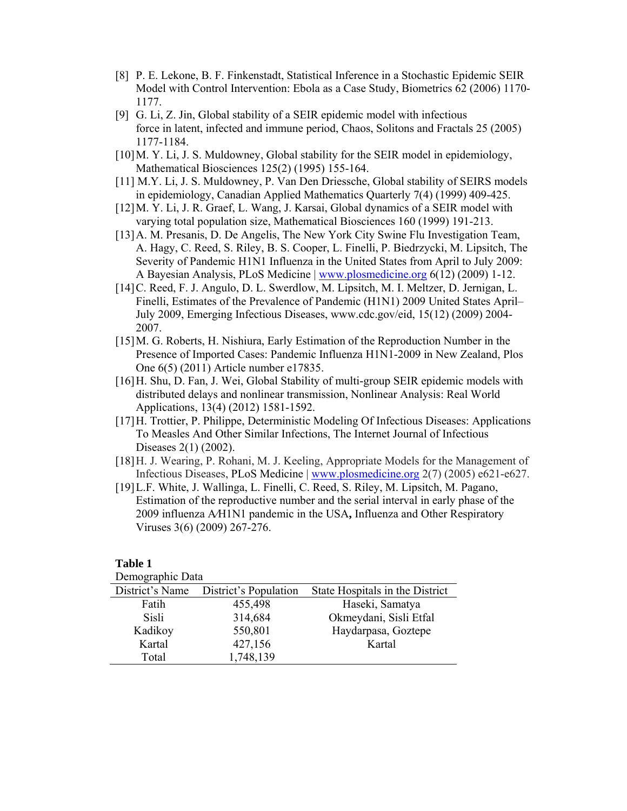- [8] P. E. Lekone, B. F. Finkenstadt, Statistical Inference in a Stochastic Epidemic SEIR Model with Control Intervention: Ebola as a Case Study, Biometrics 62 (2006) 1170- 1177.
- [9] G. Li, Z. Jin, Global stability of a SEIR epidemic model with infectious force in latent, infected and immune period, Chaos, Solitons and Fractals 25 (2005) 1177-1184.
- [10] M. Y. Li, J. S. Muldowney, Global stability for the SEIR model in epidemiology, Mathematical Biosciences 125(2) (1995) 155-164.
- [11] M.Y. Li, J. S. Muldowney, P. Van Den Driessche, Global stability of SEIRS models in epidemiology, Canadian Applied Mathematics Quarterly 7(4) (1999) 409-425.
- [12] M. Y. Li, J. R. Graef, L. Wang, J. Karsai, Global dynamics of a SEIR model with varying total population size, Mathematical Biosciences 160 (1999) 191-213.
- [13] A. M. Presanis, D. De Angelis, The New York City Swine Flu Investigation Team, A. Hagy, C. Reed, S. Riley, B. S. Cooper, L. Finelli, P. Biedrzycki, M. Lipsitch, The Severity of Pandemic H1N1 Influenza in the United States from April to July 2009: A Bayesian Analysis, PLoS Medicine | www.plosmedicine.org 6(12) (2009) 1-12.
- [14] C. Reed, F. J. Angulo, D. L. Swerdlow, M. Lipsitch, M. I. Meltzer, D. Jernigan, L. Finelli, Estimates of the Prevalence of Pandemic (H1N1) 2009 United States April– July 2009, Emerging Infectious Diseases, www.cdc.gov/eid, 15(12) (2009) 2004- 2007.
- [15] M. G. Roberts, H. Nishiura, Early Estimation of the Reproduction Number in the Presence of Imported Cases: Pandemic Influenza H1N1-2009 in New Zealand, Plos One 6(5) (2011) Article number e17835.
- [16] H. Shu, D. Fan, J. Wei, Global Stability of multi-group SEIR epidemic models with distributed delays and nonlinear transmission, Nonlinear Analysis: Real World Applications, 13(4) (2012) 1581-1592.
- [17] H. Trottier, P. Philippe, Deterministic Modeling Of Infectious Diseases: Applications To Measles And Other Similar Infections, The Internet Journal of Infectious Diseases 2(1) (2002).
- [18] H. J. Wearing, P. Rohani, M. J. Keeling, Appropriate Models for the Management of Infectious Diseases, PLoS Medicine | www.plosmedicine.org 2(7) (2005) e621-e627.
- [19] L.F. White, J. Wallinga, L. Finelli, C. Reed, S. Riley, M. Lipsitch, M. Pagano, Estimation of the reproductive number and the serial interval in early phase of the 2009 influenza A⁄H1N1 pandemic in the USA**,** Influenza and Other Respiratory Viruses 3(6) (2009) 267-276.

## **Table 1**

Demographic Data

| District's Name | District's Population | State Hospitals in the District |
|-----------------|-----------------------|---------------------------------|
| Fatih           | 455,498               | Haseki, Samatya                 |
| Sisli           | 314,684               | Okmeydani, Sisli Etfal          |
| Kadikoy         | 550,801               | Haydarpasa, Goztepe             |
| Kartal          | 427,156               | Kartal                          |
| Total           | 1,748,139             |                                 |
|                 |                       |                                 |